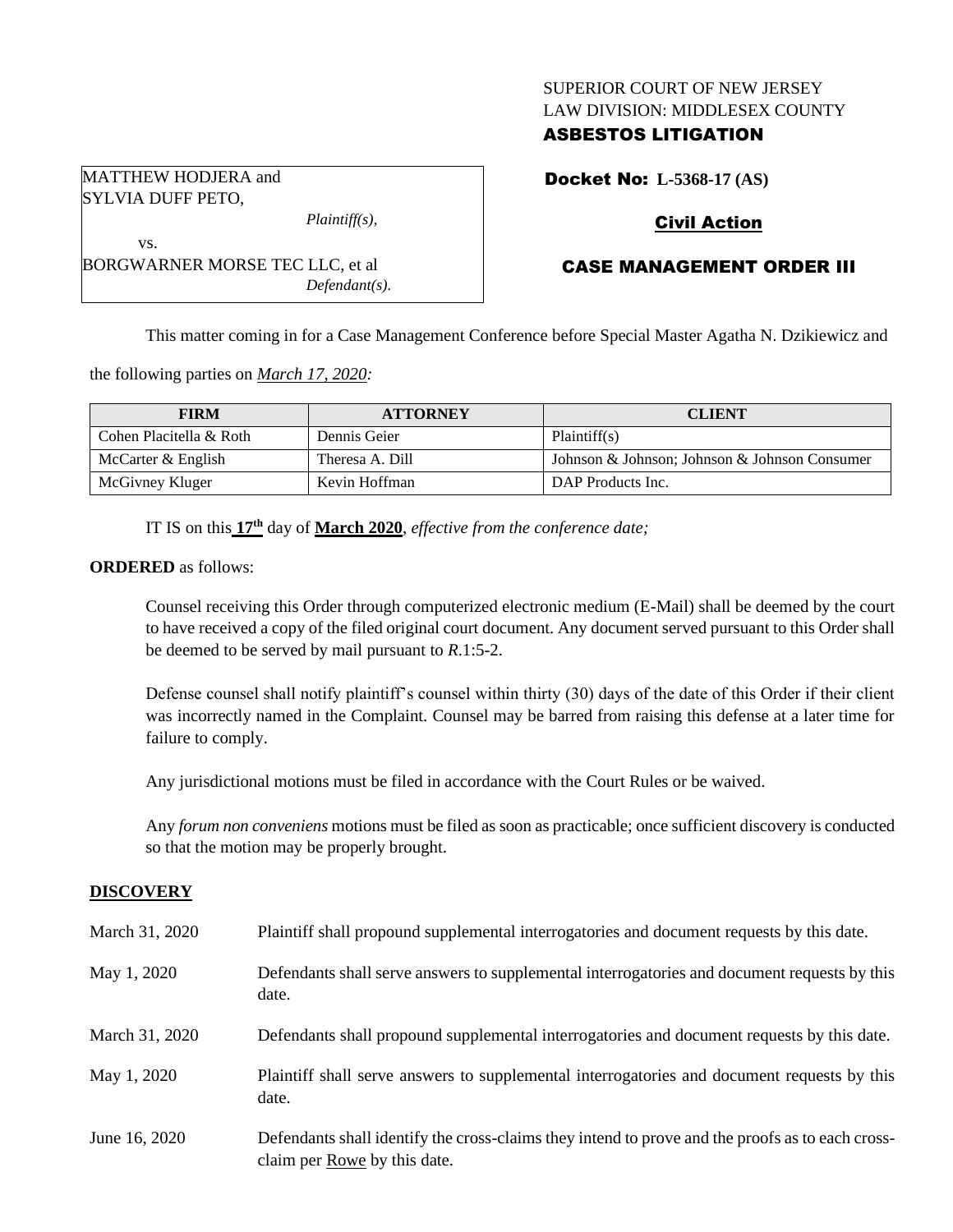## SUPERIOR COURT OF NEW JERSEY LAW DIVISION: MIDDLESEX COUNTY

## ASBESTOS LITIGATION

MATTHEW HODJERA and SYLVIA DUFF PETO,

*Plaintiff(s),*

vs. BORGWARNER MORSE TEC LLC, et al *Defendant(s).* Docket No: **L-5368-17 (AS)**

## Civil Action

# CASE MANAGEMENT ORDER III

This matter coming in for a Case Management Conference before Special Master Agatha N. Dzikiewicz and

the following parties on *March 17, 2020:*

| <b>FIRM</b>             | <b>ATTORNEY</b> | <b>CLIENT</b>                                 |
|-------------------------|-----------------|-----------------------------------------------|
| Cohen Placitella & Roth | Dennis Geier    | Plaintiff(s)                                  |
| McCarter & English      | Theresa A. Dill | Johnson & Johnson; Johnson & Johnson Consumer |
| McGivney Kluger         | Kevin Hoffman   | DAP Products Inc.                             |

IT IS on this **17th** day of **March 2020**, *effective from the conference date;*

#### **ORDERED** as follows:

Counsel receiving this Order through computerized electronic medium (E-Mail) shall be deemed by the court to have received a copy of the filed original court document. Any document served pursuant to this Order shall be deemed to be served by mail pursuant to *R*.1:5-2.

Defense counsel shall notify plaintiff's counsel within thirty (30) days of the date of this Order if their client was incorrectly named in the Complaint. Counsel may be barred from raising this defense at a later time for failure to comply.

Any jurisdictional motions must be filed in accordance with the Court Rules or be waived.

Any *forum non conveniens* motions must be filed as soon as practicable; once sufficient discovery is conducted so that the motion may be properly brought.

## **DISCOVERY**

| March 31, 2020 | Plaintiff shall propound supplemental interrogatories and document requests by this date.                                        |
|----------------|----------------------------------------------------------------------------------------------------------------------------------|
| May 1, 2020    | Defendants shall serve answers to supplemental interrogatories and document requests by this<br>date.                            |
| March 31, 2020 | Defendants shall propound supplemental interrogatories and document requests by this date.                                       |
| May 1, 2020    | Plaintiff shall serve answers to supplemental interrogatories and document requests by this<br>date.                             |
| June 16, 2020  | Defendants shall identify the cross-claims they intend to prove and the proofs as to each cross-<br>claim per Rowe by this date. |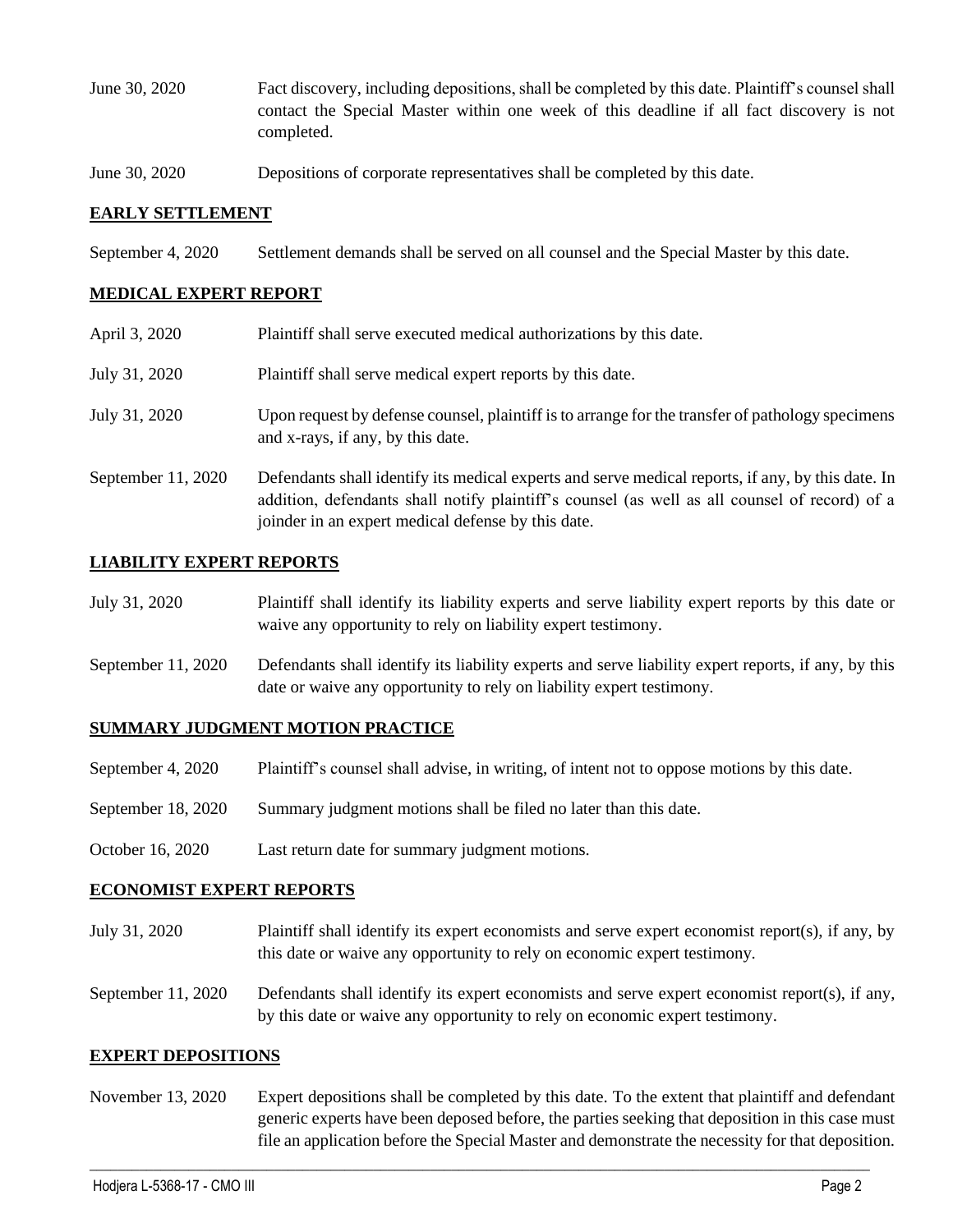- June 30, 2020 Fact discovery, including depositions, shall be completed by this date. Plaintiff's counsel shall contact the Special Master within one week of this deadline if all fact discovery is not completed.
- June 30, 2020 Depositions of corporate representatives shall be completed by this date.

#### **EARLY SETTLEMENT**

September 4, 2020 Settlement demands shall be served on all counsel and the Special Master by this date.

#### **MEDICAL EXPERT REPORT**

| April 3, 2020      | Plaintiff shall serve executed medical authorizations by this date.                                                                                                                                                                                      |
|--------------------|----------------------------------------------------------------------------------------------------------------------------------------------------------------------------------------------------------------------------------------------------------|
| July 31, 2020      | Plaintiff shall serve medical expert reports by this date.                                                                                                                                                                                               |
| July 31, 2020      | Upon request by defense counsel, plaintiff is to arrange for the transfer of pathology specimens<br>and x-rays, if any, by this date.                                                                                                                    |
| September 11, 2020 | Defendants shall identify its medical experts and serve medical reports, if any, by this date. In<br>addition, defendants shall notify plaintiff's counsel (as well as all counsel of record) of a<br>joinder in an expert medical defense by this date. |

#### **LIABILITY EXPERT REPORTS**

| July 31, 2020 | Plaintiff shall identify its liability experts and serve liability expert reports by this date or |
|---------------|---------------------------------------------------------------------------------------------------|
|               | waive any opportunity to rely on liability expert testimony.                                      |

September 11, 2020 Defendants shall identify its liability experts and serve liability expert reports, if any, by this date or waive any opportunity to rely on liability expert testimony.

#### **SUMMARY JUDGMENT MOTION PRACTICE**

- September 4, 2020 Plaintiff's counsel shall advise, in writing, of intent not to oppose motions by this date.
- September 18, 2020 Summary judgment motions shall be filed no later than this date.
- October 16, 2020 Last return date for summary judgment motions.

#### **ECONOMIST EXPERT REPORTS**

- July 31, 2020 Plaintiff shall identify its expert economists and serve expert economist report(s), if any, by this date or waive any opportunity to rely on economic expert testimony.
- September 11, 2020 Defendants shall identify its expert economists and serve expert economist report(s), if any, by this date or waive any opportunity to rely on economic expert testimony.

#### **EXPERT DEPOSITIONS**

November 13, 2020 Expert depositions shall be completed by this date. To the extent that plaintiff and defendant generic experts have been deposed before, the parties seeking that deposition in this case must file an application before the Special Master and demonstrate the necessity for that deposition.

 $\_$  , and the set of the set of the set of the set of the set of the set of the set of the set of the set of the set of the set of the set of the set of the set of the set of the set of the set of the set of the set of th